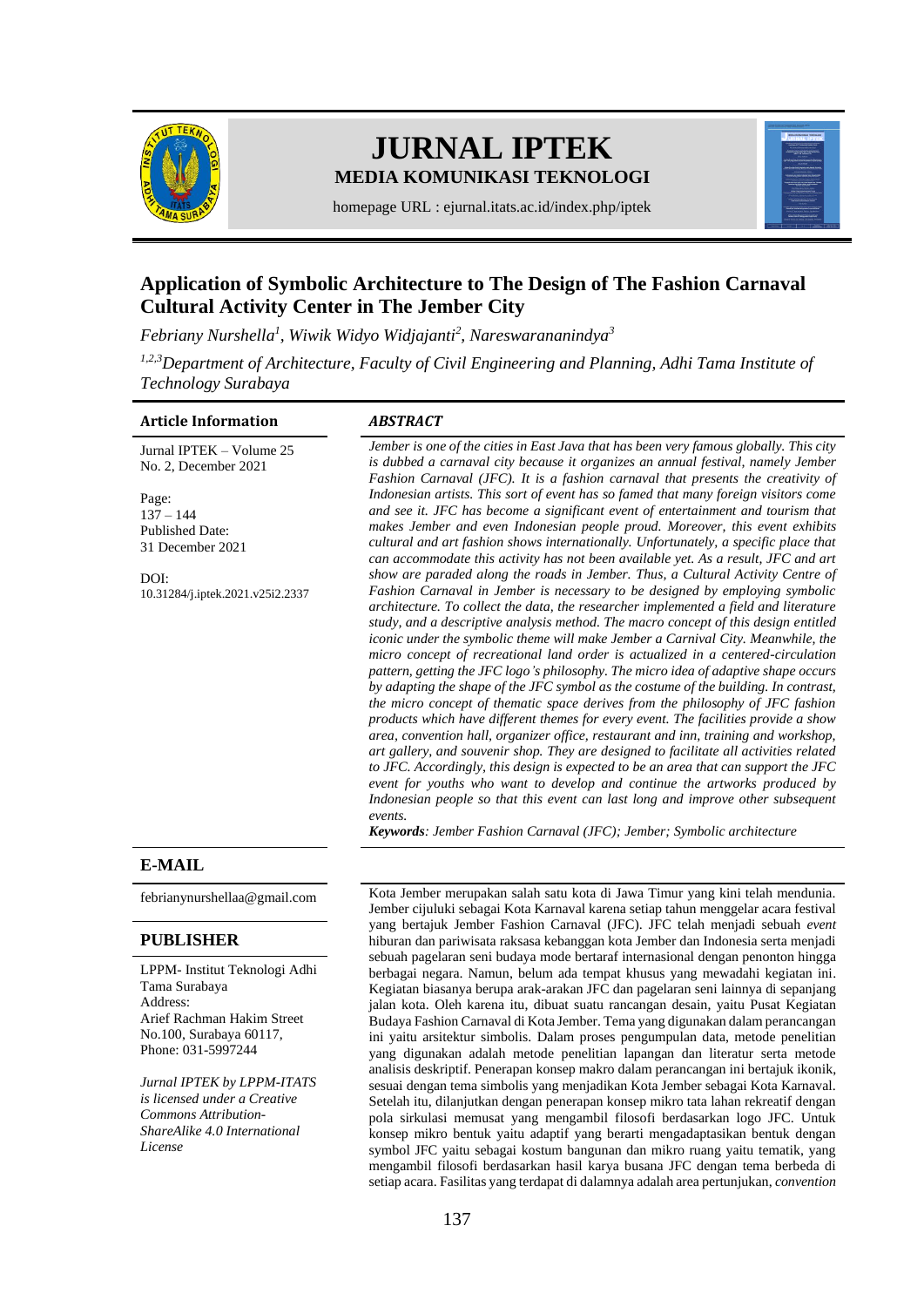

# **JURNAL IPTEK MEDIA KOMUNIKASI TEKNOLOGI**



homepage URL : ejurnal.itats.ac.id/index.php/iptek

# **Application of Symbolic Architecture to The Design of The Fashion Carnaval Cultural Activity Center in The Jember City**

*Febriany Nurshella 1 , Wiwik Widyo Widjajanti<sup>2</sup> , Nareswarananindya<sup>3</sup>*

*1,2,3Department of Architecture, Faculty of Civil Engineering and Planning, Adhi Tama Institute of Technology Surabaya*

#### **Article Information** *ABSTRACT*

#### Jurnal IPTEK – Volume 25 No. 2, December 2021

Page:  $137 - 144$ Published Date: 31 December 2021

DOI: [10.31284/j.iptek.2021.v25i2.2337](https://doi.org/10.31284/j.iptek.2021.v25i2.2337)

*Jember is one of the cities in East Java that has been very famous globally. This city is dubbed a carnaval city because it organizes an annual festival, namely Jember Fashion Carnaval (JFC). It is a fashion carnaval that presents the creativity of Indonesian artists. This sort of event has so famed that many foreign visitors come and see it. JFC has become a significant event of entertainment and tourism that makes Jember and even Indonesian people proud. Moreover, this event exhibits cultural and art fashion shows internationally. Unfortunately, a specific place that can accommodate this activity has not been available yet. As a result, JFC and art show are paraded along the roads in Jember. Thus, a Cultural Activity Centre of Fashion Carnaval in Jember is necessary to be designed by employing symbolic architecture. To collect the data, the researcher implemented a field and literature study, and a descriptive analysis method. The macro concept of this design entitled iconic under the symbolic theme will make Jember a Carnival City. Meanwhile, the micro concept of recreational land order is actualized in a centered-circulation pattern, getting the JFC logo's philosophy. The micro idea of adaptive shape occurs by adapting the shape of the JFC symbol as the costume of the building. In contrast, the micro concept of thematic space derives from the philosophy of JFC fashion products which have different themes for every event. The facilities provide a show area, convention hall, organizer office, restaurant and inn, training and workshop, art gallery, and souvenir shop. They are designed to facilitate all activities related to JFC. Accordingly, this design is expected to be an area that can support the JFC event for youths who want to develop and continue the artworks produced by*  Indonesian people so that this event can last long and improve other subsequent *events.*

*Keywords: Jember Fashion Carnaval (JFC); Jember; Symbolic architecture*

# **E-MAIL**

# **PUBLISHER**

LPPM- Institut Teknologi Adhi Tama Surabaya Address: Arief Rachman Hakim Street No.100, Surabaya 60117, Phone: 031-5997244

*Jurnal IPTEK by LPPM-ITATS is licensed under a Creative Commons Attribution-ShareAlike 4.0 International License*

[febrianynurshellaa@gmail.com](mailto:febrianynurshellaa@gmail.com) Kota Jember merupakan salah satu kota di Jawa Timur yang kini telah mendunia. Jember cijuluki sebagai Kota Karnaval karena setiap tahun menggelar acara festival yang bertajuk Jember Fashion Carnaval (JFC). JFC telah menjadi sebuah *event* hiburan dan pariwisata raksasa kebanggan kota Jember dan Indonesia serta menjadi sebuah pagelaran seni budaya mode bertaraf internasional dengan penonton hingga berbagai negara. Namun, belum ada tempat khusus yang mewadahi kegiatan ini. Kegiatan biasanya berupa arak-arakan JFC dan pagelaran seni lainnya di sepanjang jalan kota. Oleh karena itu, dibuat suatu rancangan desain, yaitu Pusat Kegiatan Budaya Fashion Carnaval di Kota Jember. Tema yang digunakan dalam perancangan ini yaitu arsitektur simbolis. Dalam proses pengumpulan data, metode penelitian yang digunakan adalah metode penelitian lapangan dan literatur serta metode analisis deskriptif. Penerapan konsep makro dalam perancangan ini bertajuk ikonik, sesuai dengan tema simbolis yang menjadikan Kota Jember sebagai Kota Karnaval. Setelah itu, dilanjutkan dengan penerapan konsep mikro tata lahan rekreatif dengan pola sirkulasi memusat yang mengambil filosofi berdasarkan logo JFC. Untuk konsep mikro bentuk yaitu adaptif yang berarti mengadaptasikan bentuk dengan symbol JFC yaitu sebagai kostum bangunan dan mikro ruang yaitu tematik, yang mengambil filosofi berdasarkan hasil karya busana JFC dengan tema berbeda di setiap acara. Fasilitas yang terdapat di dalamnya adalah area pertunjukan, *convention*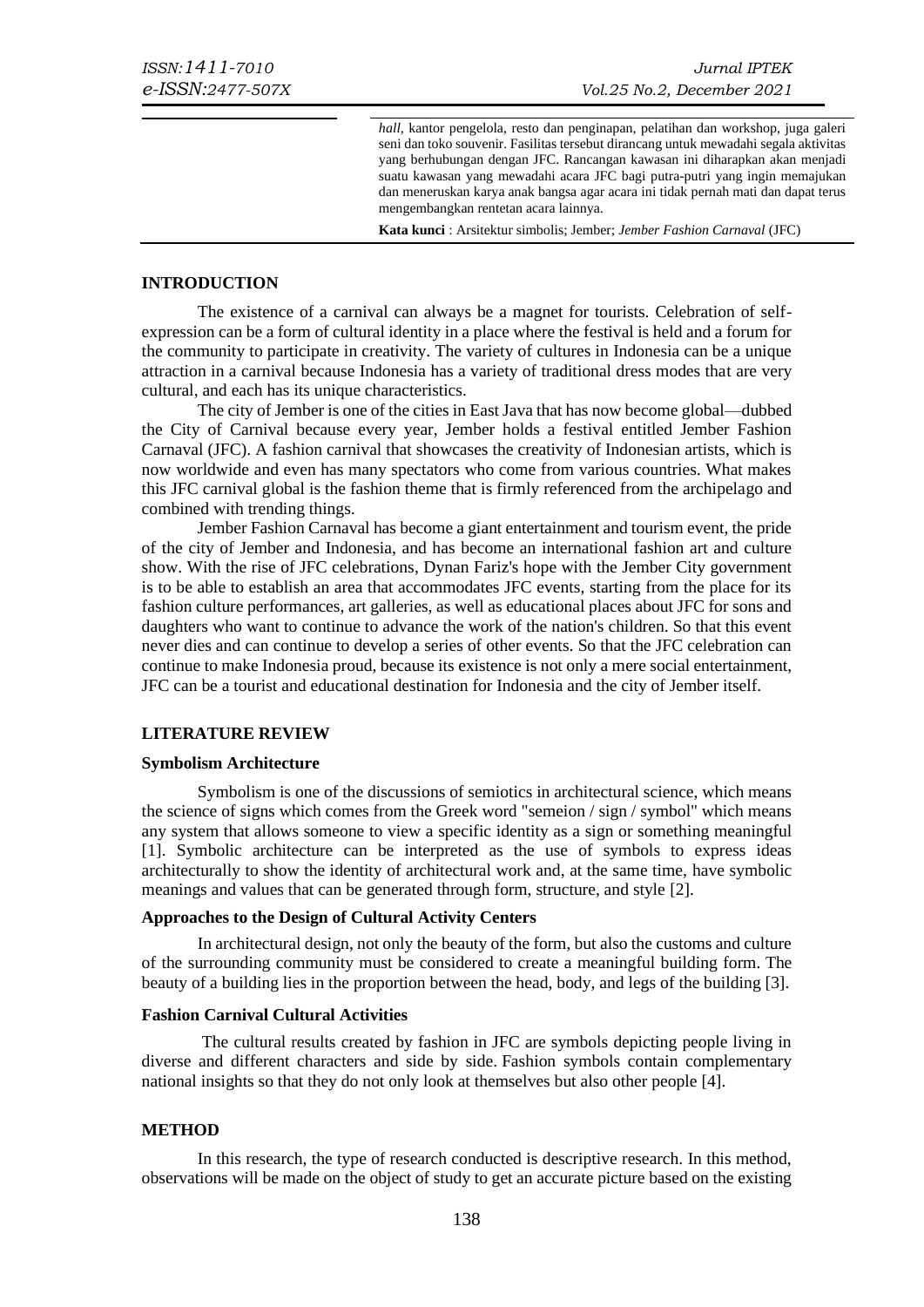*hall*, kantor pengelola, resto dan penginapan, pelatihan dan workshop, juga galeri seni dan toko souvenir. Fasilitas tersebut dirancang untuk mewadahi segala aktivitas yang berhubungan dengan JFC. Rancangan kawasan ini diharapkan akan menjadi suatu kawasan yang mewadahi acara JFC bagi putra-putri yang ingin memajukan dan meneruskan karya anak bangsa agar acara ini tidak pernah mati dan dapat terus mengembangkan rentetan acara lainnya.

**Kata kunci** : Arsitektur simbolis; Jember; *Jember Fashion Carnaval* (JFC)

#### **INTRODUCTION**

The existence of a carnival can always be a magnet for tourists. Celebration of selfexpression can be a form of cultural identity in a place where the festival is held and a forum for the community to participate in creativity. The variety of cultures in Indonesia can be a unique attraction in a carnival because Indonesia has a variety of traditional dress modes that are very cultural, and each has its unique characteristics.

The city of Jember is one of the cities in East Java that has now become global—dubbed the City of Carnival because every year, Jember holds a festival entitled Jember Fashion Carnaval (JFC). A fashion carnival that showcases the creativity of Indonesian artists, which is now worldwide and even has many spectators who come from various countries. What makes this JFC carnival global is the fashion theme that is firmly referenced from the archipelago and combined with trending things.

Jember Fashion Carnaval has become a giant entertainment and tourism event, the pride of the city of Jember and Indonesia, and has become an international fashion art and culture show. With the rise of JFC celebrations, Dynan Fariz's hope with the Jember City government is to be able to establish an area that accommodates JFC events, starting from the place for its fashion culture performances, art galleries, as well as educational places about JFC for sons and daughters who want to continue to advance the work of the nation's children. So that this event never dies and can continue to develop a series of other events. So that the JFC celebration can continue to make Indonesia proud, because its existence is not only a mere social entertainment, JFC can be a tourist and educational destination for Indonesia and the city of Jember itself.

#### **LITERATURE REVIEW**

#### **Symbolism Architecture**

Symbolism is one of the discussions of semiotics in architectural science, which means the science of signs which comes from the Greek word "semeion / sign / symbol" which means any system that allows someone to view a specific identity as a sign or something meaningful [1]. Symbolic architecture can be interpreted as the use of symbols to express ideas architecturally to show the identity of architectural work and, at the same time, have symbolic meanings and values that can be generated through form, structure, and style [2].

#### **Approaches to the Design of Cultural Activity Centers**

In architectural design, not only the beauty of the form, but also the customs and culture of the surrounding community must be considered to create a meaningful building form. The beauty of a building lies in the proportion between the head, body, and legs of the building [3].

#### **Fashion Carnival Cultural Activities**

The cultural results created by fashion in JFC are symbols depicting people living in diverse and different characters and side by side. Fashion symbols contain complementary national insights so that they do not only look at themselves but also other people [4].

#### **METHOD**

In this research, the type of research conducted is descriptive research. In this method, observations will be made on the object of study to get an accurate picture based on the existing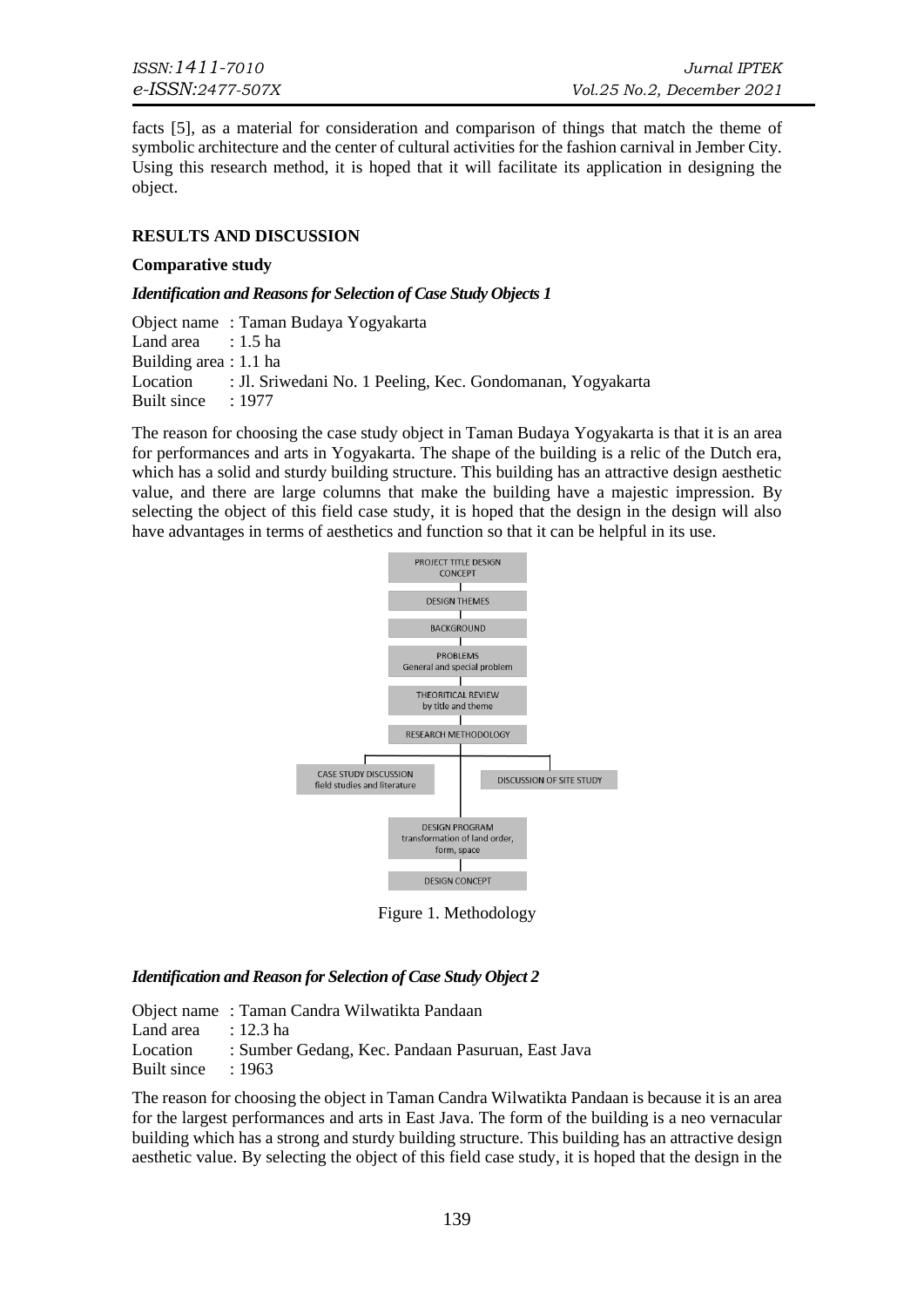facts [5], as a material for consideration and comparison of things that match the theme of symbolic architecture and the center of cultural activities for the fashion carnival in Jember City. Using this research method, it is hoped that it will facilitate its application in designing the object.

# **RESULTS AND DISCUSSION**

#### **Comparative study**

#### *Identification and Reasons for Selection of Case Study Objects 1*

Object name : Taman Budaya Yogyakarta Land area : 1.5 ha Building area : 1.1 ha Location : Jl. Sriwedani No. 1 Peeling, Kec. Gondomanan, Yogyakarta Built since : 1977

The reason for choosing the case study object in Taman Budaya Yogyakarta is that it is an area for performances and arts in Yogyakarta. The shape of the building is a relic of the Dutch era, which has a solid and sturdy building structure. This building has an attractive design aesthetic value, and there are large columns that make the building have a majestic impression. By selecting the object of this field case study, it is hoped that the design in the design will also have advantages in terms of aesthetics and function so that it can be helpful in its use.



Figure 1. Methodology

# *Identification and Reason for Selection of Case Study Object 2*

Object name : Taman Candra Wilwatikta Pandaan Land area : 12.3 ha Location : Sumber Gedang, Kec. Pandaan Pasuruan, East Java Built since : 1963

The reason for choosing the object in Taman Candra Wilwatikta Pandaan is because it is an area for the largest performances and arts in East Java. The form of the building is a neo vernacular building which has a strong and sturdy building structure. This building has an attractive design aesthetic value. By selecting the object of this field case study, it is hoped that the design in the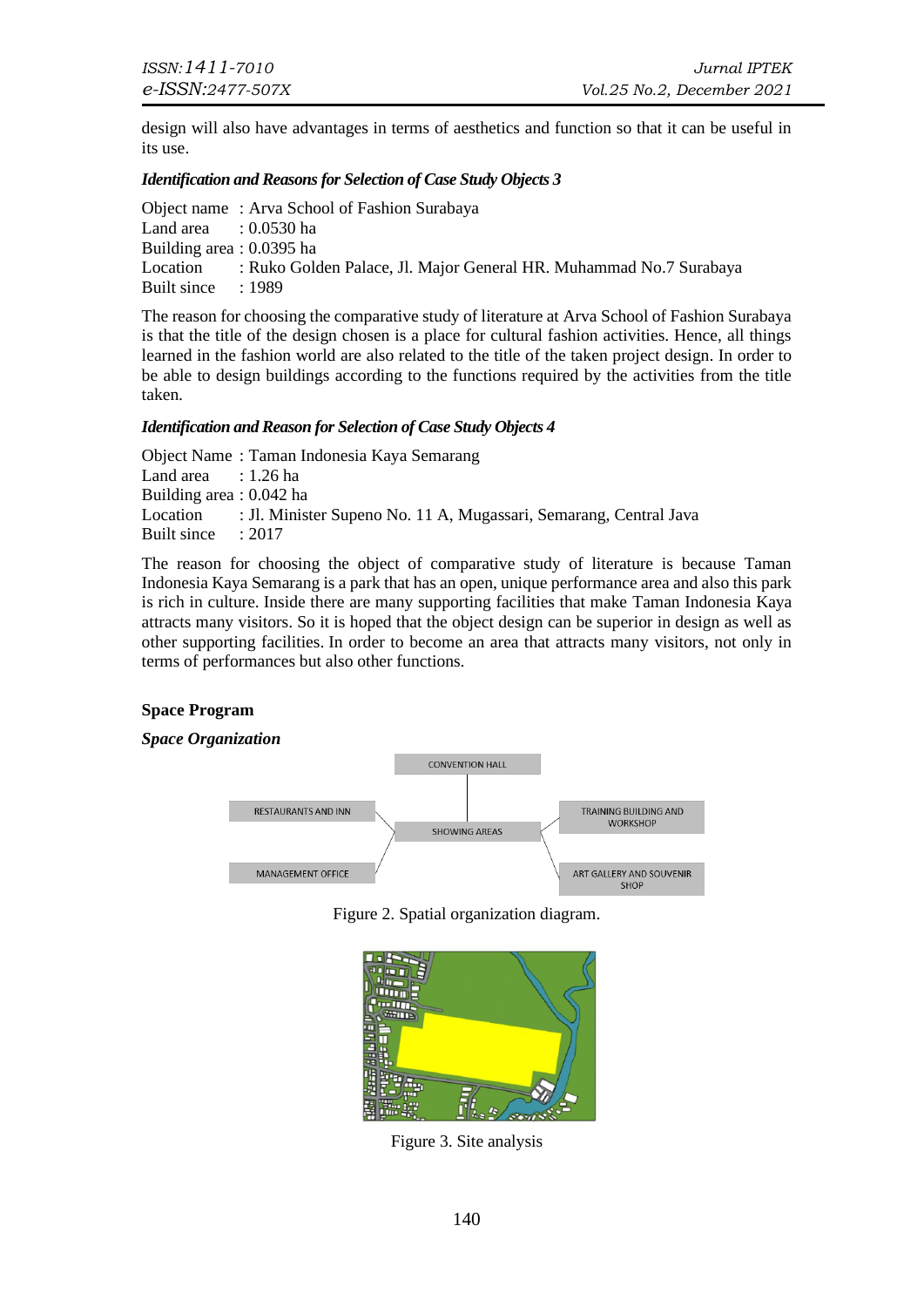design will also have advantages in terms of aesthetics and function so that it can be useful in its use.

# *Identification and Reasons for Selection of Case Study Objects 3*

|                                  | Object name: Arva School of Fashion Surabaya                                |
|----------------------------------|-----------------------------------------------------------------------------|
| Land area $\therefore$ 0.0530 ha |                                                                             |
| Building area : 0.0395 ha        |                                                                             |
|                                  | Location : Ruko Golden Palace, Jl. Major General HR. Muhammad No.7 Surabaya |
| Built since : 1989               |                                                                             |

The reason for choosing the comparative study of literature at Arva School of Fashion Surabaya is that the title of the design chosen is a place for cultural fashion activities. Hence, all things learned in the fashion world are also related to the title of the taken project design. In order to be able to design buildings according to the functions required by the activities from the title taken.

# *Identification and Reason for Selection of Case Study Objects 4*

Object Name : Taman Indonesia Kaya Semarang Land area  $: 1.26$  ha Building area : 0.042 ha Location : Jl. Minister Supeno No. 11 A, Mugassari, Semarang, Central Java Built since : 2017

The reason for choosing the object of comparative study of literature is because Taman Indonesia Kaya Semarang is a park that has an open, unique performance area and also this park is rich in culture. Inside there are many supporting facilities that make Taman Indonesia Kaya attracts many visitors. So it is hoped that the object design can be superior in design as well as other supporting facilities. In order to become an area that attracts many visitors, not only in terms of performances but also other functions.

# **Space Program**

# *Space Organization*



Figure 2. Spatial organization diagram.



Figure 3. Site analysis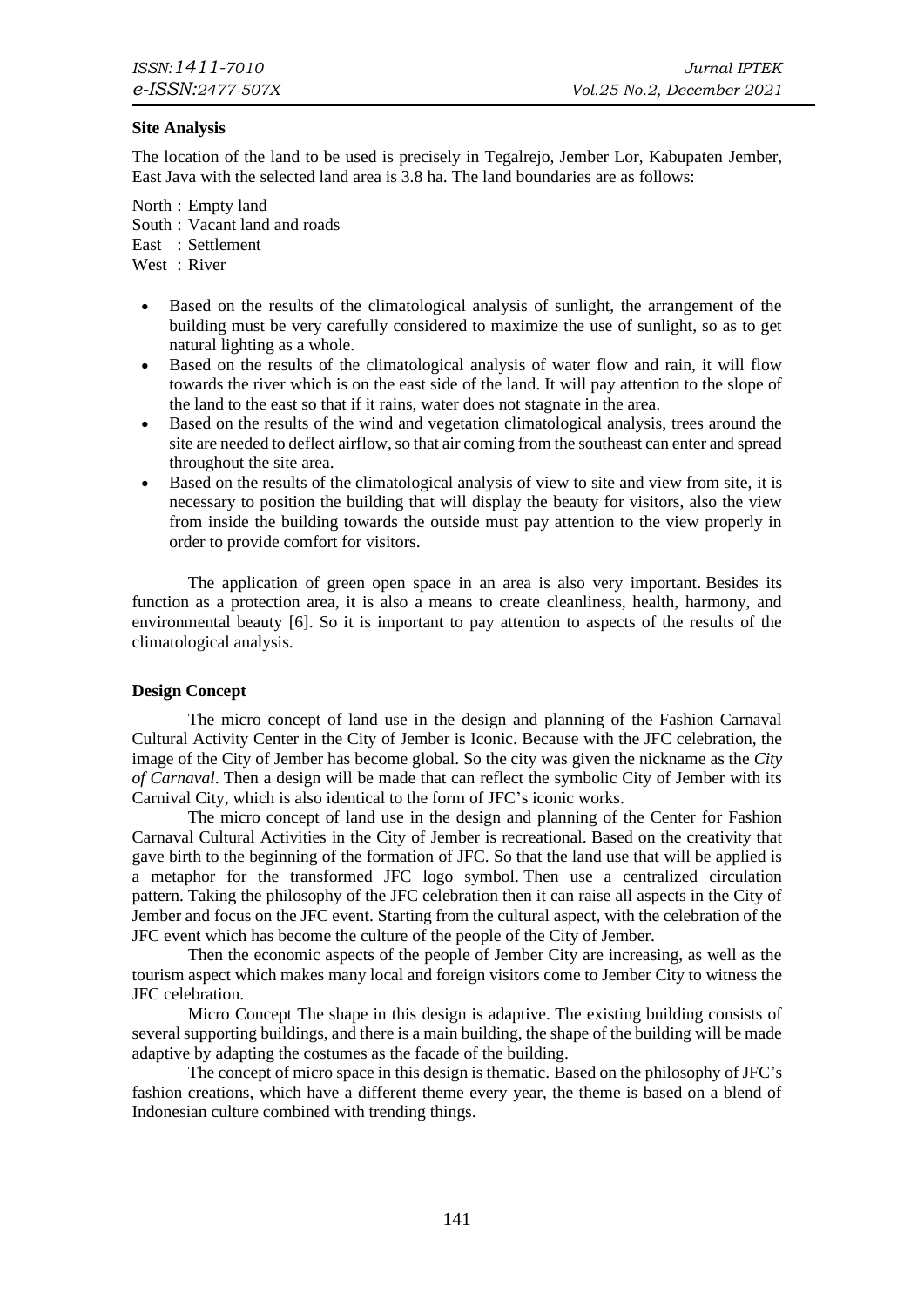# **Site Analysis**

The location of the land to be used is precisely in Tegalrejo, Jember Lor, Kabupaten Jember, East Java with the selected land area is 3.8 ha. The land boundaries are as follows:

North : Empty land South : Vacant land and roads East : Settlement West : River

- Based on the results of the climatological analysis of sunlight, the arrangement of the building must be very carefully considered to maximize the use of sunlight, so as to get natural lighting as a whole.
- Based on the results of the climatological analysis of water flow and rain, it will flow towards the river which is on the east side of the land. It will pay attention to the slope of the land to the east so that if it rains, water does not stagnate in the area.
- Based on the results of the wind and vegetation climatological analysis, trees around the site are needed to deflect airflow, so that air coming from the southeast can enter and spread throughout the site area.
- Based on the results of the climatological analysis of view to site and view from site, it is necessary to position the building that will display the beauty for visitors, also the view from inside the building towards the outside must pay attention to the view properly in order to provide comfort for visitors.

The application of green open space in an area is also very important. Besides its function as a protection area, it is also a means to create cleanliness, health, harmony, and environmental beauty [6]. So it is important to pay attention to aspects of the results of the climatological analysis.

# **Design Concept**

The micro concept of land use in the design and planning of the Fashion Carnaval Cultural Activity Center in the City of Jember is Iconic. Because with the JFC celebration, the image of the City of Jember has become global. So the city was given the nickname as the *City of Carnaval*. Then a design will be made that can reflect the symbolic City of Jember with its Carnival City, which is also identical to the form of JFC's iconic works.

The micro concept of land use in the design and planning of the Center for Fashion Carnaval Cultural Activities in the City of Jember is recreational. Based on the creativity that gave birth to the beginning of the formation of JFC. So that the land use that will be applied is a metaphor for the transformed JFC logo symbol. Then use a centralized circulation pattern. Taking the philosophy of the JFC celebration then it can raise all aspects in the City of Jember and focus on the JFC event. Starting from the cultural aspect, with the celebration of the JFC event which has become the culture of the people of the City of Jember.

Then the economic aspects of the people of Jember City are increasing, as well as the tourism aspect which makes many local and foreign visitors come to Jember City to witness the JFC celebration.

Micro Concept The shape in this design is adaptive. The existing building consists of several supporting buildings, and there is a main building, the shape of the building will be made adaptive by adapting the costumes as the facade of the building.

The concept of micro space in this design is thematic. Based on the philosophy of JFC's fashion creations, which have a different theme every year, the theme is based on a blend of Indonesian culture combined with trending things.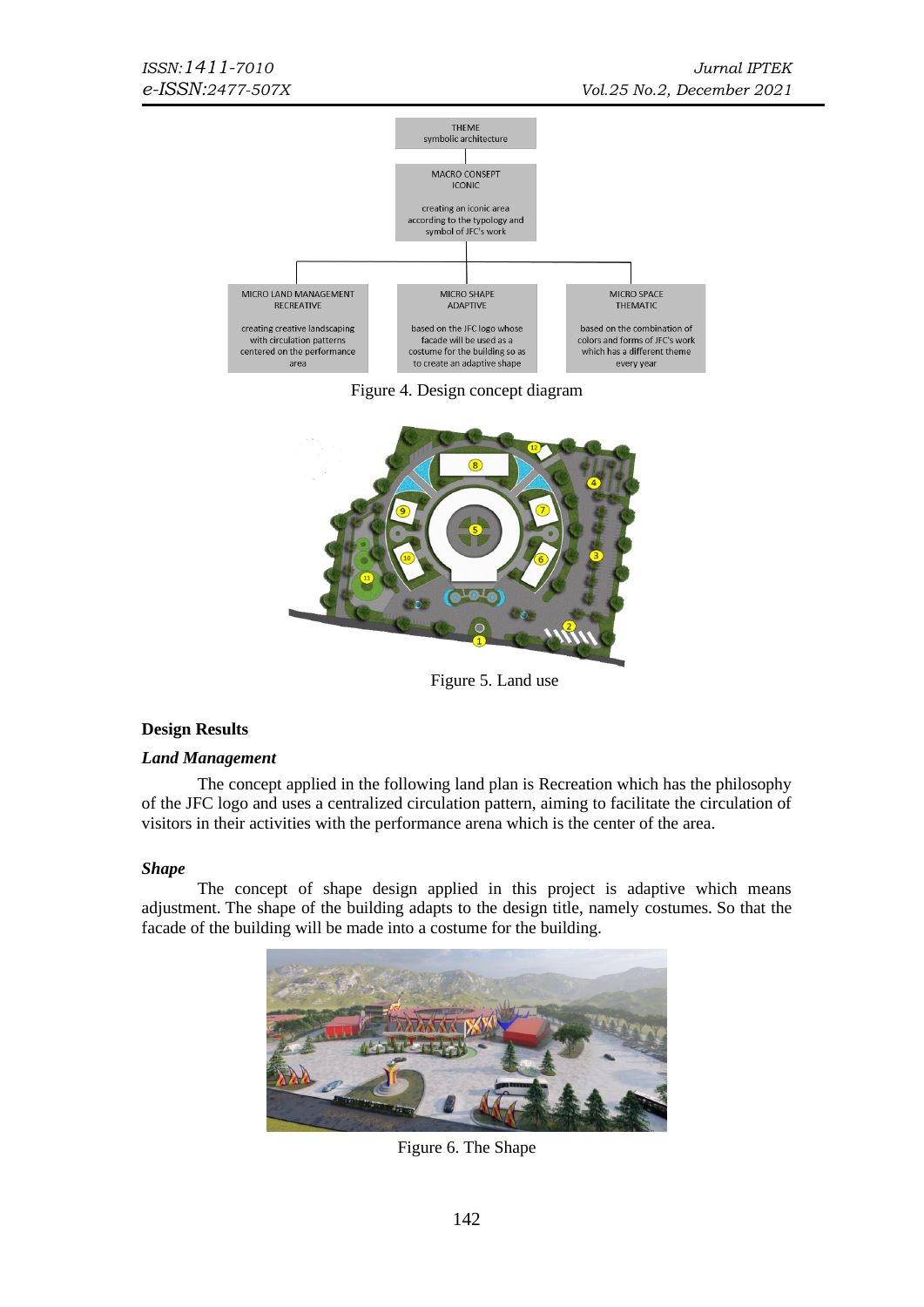

Figure 4. Design concept diagram



Figure 5. Land use

# **Design Results**

# *Land Management*

The concept applied in the following land plan is Recreation which has the philosophy of the JFC logo and uses a centralized circulation pattern, aiming to facilitate the circulation of visitors in their activities with the performance arena which is the center of the area.

#### *Shape*

The concept of shape design applied in this project is adaptive which means adjustment. The shape of the building adapts to the design title, namely costumes. So that the facade of the building will be made into a costume for the building.



Figure 6. The Shape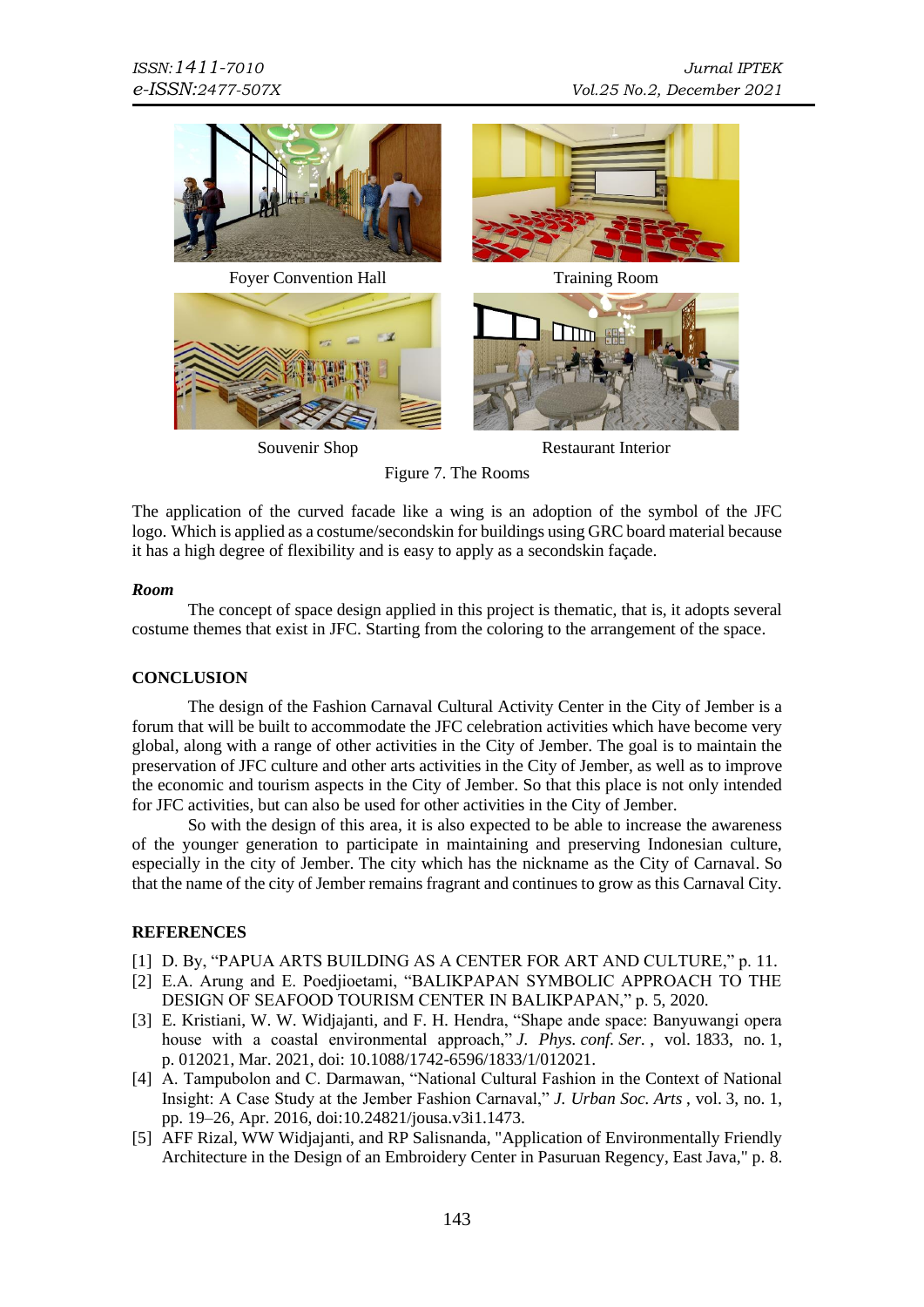

Souvenir Shop Restaurant Interior

Figure 7. The Rooms

The application of the curved facade like a wing is an adoption of the symbol of the JFC logo. Which is applied as a costume/secondskin for buildings using GRC board material because it has a high degree of flexibility and is easy to apply as a secondskin façade.

# *Room*

The concept of space design applied in this project is thematic, that is, it adopts several costume themes that exist in JFC. Starting from the coloring to the arrangement of the space.

# **CONCLUSION**

The design of the Fashion Carnaval Cultural Activity Center in the City of Jember is a forum that will be built to accommodate the JFC celebration activities which have become very global, along with a range of other activities in the City of Jember. The goal is to maintain the preservation of JFC culture and other arts activities in the City of Jember, as well as to improve the economic and tourism aspects in the City of Jember. So that this place is not only intended for JFC activities, but can also be used for other activities in the City of Jember.

So with the design of this area, it is also expected to be able to increase the awareness of the younger generation to participate in maintaining and preserving Indonesian culture, especially in the city of Jember. The city which has the nickname as the City of Carnaval. So that the name of the city of Jember remains fragrant and continues to grow as this Carnaval City.

# **REFERENCES**

- [1] D. By, "PAPUA ARTS BUILDING AS A CENTER FOR ART AND CULTURE," p. 11.
- [2] E.A. Arung and E. Poedjioetami, "BALIKPAPAN SYMBOLIC APPROACH TO THE DESIGN OF SEAFOOD TOURISM CENTER IN BALIKPAPAN," p. 5, 2020.
- [3] E. Kristiani, W. W. Widjajanti, and F. H. Hendra, "Shape ande space: Banyuwangi opera house with a coastal environmental approach," *J. Phys. conf. Ser.* , vol. 1833, no. 1, p. 012021, Mar. 2021, doi: 10.1088/1742-6596/1833/1/012021.
- [4] A. Tampubolon and C. Darmawan, "National Cultural Fashion in the Context of National Insight: A Case Study at the Jember Fashion Carnaval," *J. Urban Soc. Arts* , vol. 3, no. 1, pp. 19–26, Apr. 2016, doi:10.24821/jousa.v3i1.1473.
- [5] AFF Rizal, WW Widjajanti, and RP Salisnanda, "Application of Environmentally Friendly Architecture in the Design of an Embroidery Center in Pasuruan Regency, East Java," p. 8.